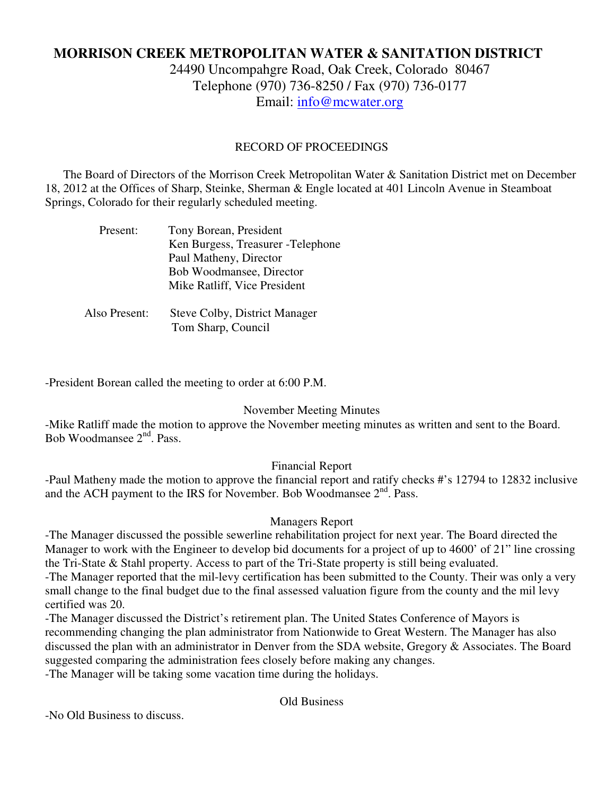# **MORRISON CREEK METROPOLITAN WATER & SANITATION DISTRICT**

24490 Uncompahgre Road, Oak Creek, Colorado 80467 Telephone (970) 736-8250 / Fax (970) 736-0177 Email: info@mcwater.org

#### RECORD OF PROCEEDINGS

 The Board of Directors of the Morrison Creek Metropolitan Water & Sanitation District met on December 18, 2012 at the Offices of Sharp, Steinke, Sherman & Engle located at 401 Lincoln Avenue in Steamboat Springs, Colorado for their regularly scheduled meeting.

| Present:      | Tony Borean, President             |
|---------------|------------------------------------|
|               | Ken Burgess, Treasurer - Telephone |
|               | Paul Matheny, Director             |
|               | Bob Woodmansee, Director           |
|               | Mike Ratliff, Vice President       |
|               |                                    |
| Also Present: | Steve Colby, District Manager      |

Tom Sharp, Council

-President Borean called the meeting to order at 6:00 P.M.

### November Meeting Minutes

-Mike Ratliff made the motion to approve the November meeting minutes as written and sent to the Board. Bob Woodmansee 2<sup>nd</sup>, Pass.

### Financial Report

-Paul Matheny made the motion to approve the financial report and ratify checks #'s 12794 to 12832 inclusive and the ACH payment to the IRS for November. Bob Woodmansee 2<sup>nd</sup>. Pass.

### Managers Report

-The Manager discussed the possible sewerline rehabilitation project for next year. The Board directed the Manager to work with the Engineer to develop bid documents for a project of up to 4600' of 21" line crossing the Tri-State & Stahl property. Access to part of the Tri-State property is still being evaluated. -The Manager reported that the mil-levy certification has been submitted to the County. Their was only a very small change to the final budget due to the final assessed valuation figure from the county and the mil levy certified was 20.

-The Manager discussed the District's retirement plan. The United States Conference of Mayors is recommending changing the plan administrator from Nationwide to Great Western. The Manager has also discussed the plan with an administrator in Denver from the SDA website, Gregory & Associates. The Board suggested comparing the administration fees closely before making any changes. -The Manager will be taking some vacation time during the holidays.

Old Business

-No Old Business to discuss.